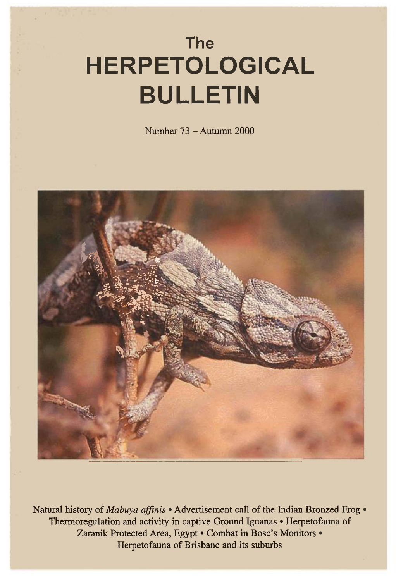# **The HERPETOLOGICAL BULLETIN**

Number 73 — Autumn 2000



Natural history of *Mabuya affinis •* Advertisement call of the Indian Bronzed Frog • Thermoregulation and activity in captive Ground Iguanas • Herpetofauna of Zaranik Protected Area, Egypt • Combat in Bosc's Monitors • Herpetofauna of Brisbane and its suburbs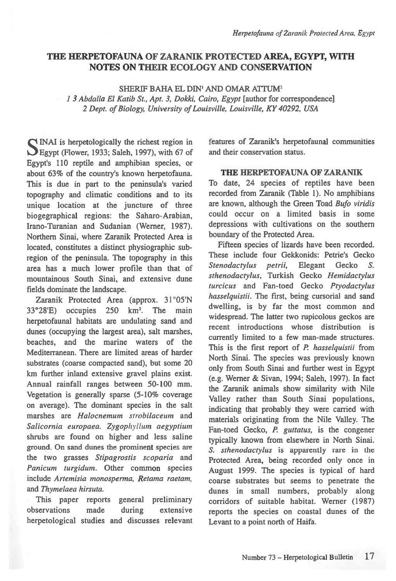## **THE HERPETOFAUNA OF ZARANIK PROTECTED AREA, EGYPT, WITH NOTES ON THEIR ECOLOGY AND CONSERVATION**

SHERIF BAHA EL DIN' AND OMAR ATTUM2

*1 3 Abdalla El Katib St., Apt. 3, Dokki, Cairo, Egypt* [author for correspondence] 2 *Dept. of Biology, University of Louisville, Louisville, KY 40292, USA* 

INAI is herpetologically the richest region in 1.3Egypt (Flower, 1933; Saleh, 1997), with 67 of Egypt's 110 reptile and amphibian species, or about 63% of the country's known herpetofauna. This is due in part to the peninsula's varied topography and climatic conditions and to its unique location at the juncture of three biogegraphical regions: the Saharo-Arabian, Irano-Turanian and Sudanian (Werner, 1987). Northern Sinai, where Zaranik Protected Area is located, constitutes a distinct physiographic subregion of the peninsula. The topography in this area has a much lower profile than that of mountainous South Sinai, and extensive dune fields dominate the landscape.

Zaranik Protected Area (approx. 31° 05'N 33°28'E) occupies 250 km2. The main herpetofaunal habitats are undulating sand and dunes (occupying the largest area), salt marshes, beaches, and the marine waters of the Mediterranean. There are limited areas of harder substrates (coarse compacted sand), but some 20 km further inland extensive gravel plains exist. Annual rainfall ranges between 50-100 mm. Vegetation is generally sparse (5-10% coverage on average). The dominant species in the salt marshes are *Halocnemum strobilaceum* and *Salicornia europaea. Zygophyllum aegyptium*  shrubs are found on higher and less saline ground. On sand dunes the prominent species are the two grasses *Stipagrostis scoparia* and *Panicum turgidum.* Other common species include *Artemisia monospenna, Retama raetam,*  and *Thymelaea hirsuta.* 

This paper reports general preliminary observations made during extensive herpetological studies and discusses relevant features of Zaranik's herpetofaunal communities and their conservation status.

### **THE HERPETOFAUNA OF ZARANIK**

To date, 24 species of reptiles have been recorded from Zaranik (Table 1). No amphibians are known, although the Green Toad *Bufo viridis*  could occur on a limited basis in some depressions with cultivations on the southern boundary of the Protected Area.

Fifteen species of lizards have been recorded. These include four Gekkonids: Petrie's Gecko *Stenodactylus petrii,* Elegant Gecko *S. sthenodactylus,* Turkish Gecko *Hemidactylus turcicus* and Fan-toed Gecko *Ptyodactylus hasselquistii.* The first, being cursorial and sand dwelling, is by far the most common and widespread. The latter two rupicolous geckos are recent introductions whose distribution is currently limited to a few man-made structures. This is the first report of *P. hasselquistii* from North Sinai. The species was previously known only from South Sinai and further west in Egypt (e.g. Werner & Sivan, 1994; Saleh, 1997). In fact the Zaranik animals show similarity with Nile Valley rather than South Sinai populations, indicating that probably they were carried with materials originating from the Nile Valley. The Fan-toed Gecko, *P. guttatus,* is the congener typically known from elsewhere in North Sinai. *S. sthenodactylus* is apparently rare in the Protected Area, being recorded only once in August 1999. The species is typical of hard coarse substrates but seems to penetrate the dunes in small numbers, probably along corridors of suitable habitat. Werner (1987) reports the species on coastal dunes of the Levant to a point north of Haifa.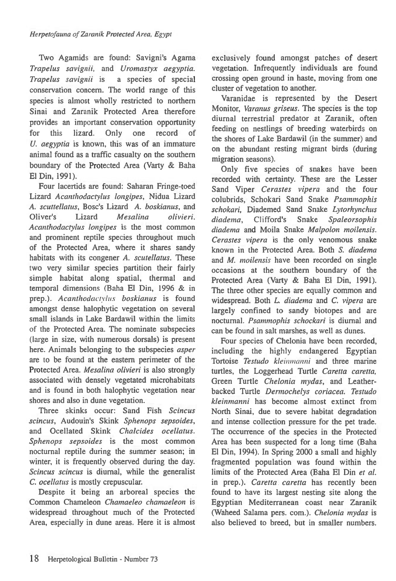Two Agamids are found: Savigni's Agama *Trapelus savignii,* and *Uromastyx aegyptia. Trapelus savignii is* a species of special conservation concern. The world range of this species is almost wholly restricted to northern Sinai and Zaranik Protected Area therefore provides an important conservation opportunity for this lizard. Only one record of *U. aegyptia* is known, this was of an immature animal found as a traffic casualty on the southern boundary of the Protected Area (Varty & Baha El Din, 1991).

Four lacertids are found: Saharan Fringe-toed Lizard *Acanthodactylus longipes,* Nidua Lizard A. *scuttellatus,* Bosc's Lizard A. *boskianus,* and Oliver's Lizard *Mesalina olivieri. Acanthodactylus longipes* is the most common and prominent reptile species throughout much of the Protected Area, where it shares sandy habitats with its congener *A. scutellatus.* These two very similar species partition their fairly simple habitat along spatial, thermal and temporal dimensions (Baha El Din, 1996 & in prep.). *Acanthodactvlus* boskianus is found amongst dense halophytic vegetation on several small islands in Lake Bardawil within the limits of the Protected Area. The nominate subspecies (large in size, with numerous dorsals) is present here. Animals belonging to the subspecies *asper are to* be found at the eastern perimeter of the Protected Area. *Mesalina olivieri is* also strongly associated with densely vegetated microhabitats and is found in both halophytic vegetation near shores and also in dune vegetation.

Three skinks occur: Sand Fish *Scincus scincus,* Audouin's Skink *Sphenops sepsoides,*  and Ocellated Skink *Chalcides ocellatus*. *Sphenops sepsoides is the* most common nocturnal reptile during the summer season; in winter, it is frequently observed during the day. *Scincus scincus* is diurnal, while the generalist *C. ocellatus* is mostly crepuscular.

Despite it being an arboreal species the Common Chameleon *Chamaeleo chanzaeleon* is widespread throughout much of the Protected Area, especially in dune areas. Here it is almost exclusively found amongst patches of desert vegetation. Infrequently individuals are found crossing open ground in haste, moving from one cluster of vegetation to another.

Varanidae is represented by the Desert Monitor, *Varanus griseus.* The species is the top diurnal terrestrial predator at Zaranik, often feeding on nestlings of breeding waterbirds on the shores of Lake Bardawil (in the summer) and on the abundant resting migrant birds (during migration seasons).

Only five species of snakes have been recorded with certainty. These are the Lesser Sand Viper *Cerastes vipera* and the four colubrids, Schokari Sand Snake *Psammophis schokari,* Diademed Sand Snake *Lytorhynchus diadema, Clifford's* Snake *Spaleorsophis diadema* and Moila Snake *Malpolon moilensis. Cerastes vipera* is the only venomous snake known in the Protected Area. Both *S. diadema*  and *M. moilensis* have been recorded on single occasions at the southern boundary of the Protected Area (Varty & Baha El Din, 1991). The three other species are equally common and widespread. Both *L diadema* and *C. vipera are*  largely confined to sandy biotopes and are nocturnal. *Psammophis schockari is* diurnal and can be found in salt marshes, as well as dunes.

Four species of Chelonia have been recorded, including the highly endangered Egyptian Tortoise *Testudo kleinmanni* and three marine turtles, the Loggerhead Turtle *Caretta caretta,*  Green Turtle *Chelonia mydas*, and Leatherbacked Turtle *Dermochelys coriacea. Testudo kleinmanni* has become almost extinct from North Sinai, due to severe habitat degradation and intense collection pressure for the pet trade. The occurrence of the species in the Protected Area has been suspected for a long time (Baha El Din, 1994). In Spring 2000 a small and highly fragmented population was found within the limits of the Protected Area (Baha El Din *et al.*  in prep.). *Caretta caretta* has recently been found to have its largest nesting site along the Egyptian Mediterranean coast near Zaranik (Waheed Salama pers. com.). *Chelonia mydas is*  also believed to breed, but in smaller numbers.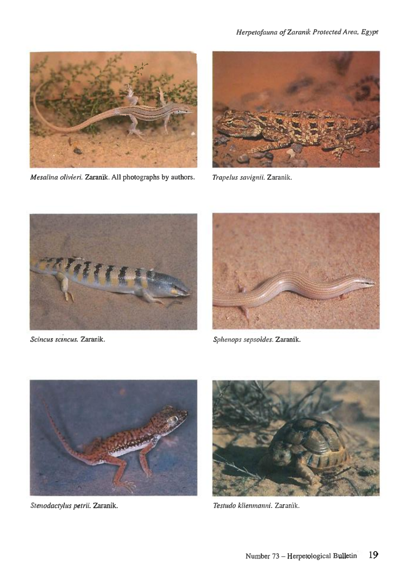

*Mesalina olivieri.* Zaranik. All photographs by authors. *Trapelus savignii.* Zaranik.







*Scincus sctncus.* Zaranik. *Sphenops sepsoides.* Zaranik.



*Stenodactylus petrii.* Zaranik. *Testudo klienmanni.* Zaranik.

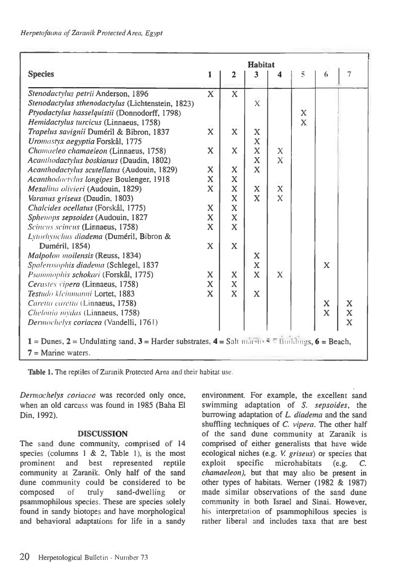| <b>Species</b>                                                                                                           | <b>Habitat</b>          |             |                |              |             |             |                |
|--------------------------------------------------------------------------------------------------------------------------|-------------------------|-------------|----------------|--------------|-------------|-------------|----------------|
|                                                                                                                          | 1                       | 2           | 3              | 4            | 5           | 6           | $\overline{7}$ |
| Stenodactylus petrii Anderson, 1896                                                                                      | $\overline{\mathbf{X}}$ | X           |                |              |             |             |                |
| Stenodactylus sthenodactylus (Lichtenstein, 1823)                                                                        |                         |             | $\overline{X}$ |              |             |             |                |
| Ptyodactylus hasselquistii (Donnodorff, 1798)                                                                            |                         |             |                |              | $\mathbf x$ |             |                |
| Hemidactylus turcicus (Linnaeus, 1758)                                                                                   |                         |             |                |              | X           |             |                |
| Trapelus savignii Duméril & Bibron, 1837                                                                                 | $\overline{\mathbf{X}}$ | $\bf{X}$    | $\mathbf X$    |              |             |             |                |
| Uromastyx aegyptia Forskål, 1775                                                                                         |                         |             | $\mathbf x$    |              |             |             |                |
| Chamaeleo chamaeleon (Linnaeus, 1758)                                                                                    | $\mathbf x$             | X           | $\mathbf{X}$   | X            |             |             |                |
| Acanthodactylus boskianus (Daudin, 1802)                                                                                 |                         |             | X              | $\mathbf{X}$ |             |             |                |
| Acanthodactylus scutellatus (Audouin, 1829)                                                                              | $\mathbf x$             | X           | X              |              |             |             |                |
| Acanthodaetylus longipes Boulenger, 1918                                                                                 | $\mathbf x$             | $\mathbf x$ |                |              |             |             |                |
| Mesalina olivieri (Audouin, 1829)                                                                                        | X                       | $\mathbf x$ | X              | $\mathbf x$  |             |             |                |
| Varanus griseus (Daudin, 1803)                                                                                           |                         | X           | $\mathbf{x}$   | $\mathbf{X}$ |             |             |                |
| Chalcides ocellatus (Forskål, 1775)                                                                                      | X                       | $\mathbf x$ |                |              |             |             |                |
| Sphenops sepsoides (Audouin, 1827                                                                                        | $\mathbf X$             | $\mathbf X$ |                |              |             |             |                |
| Scincus scincus (Linnaeus, 1758)                                                                                         | $\mathbf x$             | X           |                |              |             |             |                |
| Lytorhynchus diadema (Duméril, Bibron &                                                                                  |                         |             |                |              |             |             |                |
| Duméril, 1854)                                                                                                           | $\overline{\mathbf{X}}$ | $\mathbf x$ |                |              |             |             |                |
| Malpolon moilensis (Reuss, 1834)                                                                                         |                         |             | X              |              |             |             |                |
| Spalerosophis diadema (Schlegel, 1837                                                                                    |                         |             | $\mathbf X$    |              |             | $\mathbf x$ |                |
| Psammophis schokari (Forskål, 1775)                                                                                      | X                       | $\mathbf x$ | $\mathbf{x}$   | $\mathbf x$  |             |             |                |
| Cerastes vipera (Linnaeus, 1758)                                                                                         | $\bf{X}$                | X           |                |              |             |             |                |
| Testudo kleinmanni Lortet, 1883                                                                                          | X                       | X           | X              |              |             |             |                |
| Caretta caretta (Linnaeus, 1758)                                                                                         |                         |             |                |              |             | $\mathbf x$ | $\mathbf X$    |
| Chelonia mydas (Linnaeus, 1758)                                                                                          |                         |             |                |              |             | $\mathbf x$ | X              |
| Dermochelys coriacea (Vandelli, 1761)                                                                                    |                         |             |                |              |             |             | $\bf{X}$       |
| $1 =$ Dunes, $2 =$ Undulating sand, $3 =$ Harder substrates, $4 =$ Salt marshes $\overline{5} =$ Buildings, $6 =$ Beach, |                         |             |                |              |             |             |                |
| $7 =$ Marine waters.                                                                                                     |                         |             |                |              |             |             |                |

Table 1. The reptiles of Zaranik Protected Area and their habitat use.

*Dermochelys coriacea* was recorded only once, when an old carcass was found in 1985 (Baha El Din, 1992).

#### DISCUSSION

The sand dune community, comprised of 14 species (columns  $1 \& 2$ , Table 1), is the most prominent and best represented reptile community at Zaranik. Only half of the sand dune community could be considered to be composed of truly sand-dwelling or psammophilous species. These are species solely found in sandy biotopes and have morphological and behavioral adaptations for life in a sandy

environment. For example, the excellent sand swimming adaptation of *S. sepsoides,* the burrowing adaptation of *L. diadema* and the sand shuffling techniques of *C. vipera.* The other half of the sand dune community at Zaranik is comprised of either generalists that have wide ecological niches (e.g. *V griseus)* or species that exploit specific microhabitats (e.g. *C. chamaeleon),* but that may also be present in other types of habitats. Werner (1982 & 1987) made similar observations of the sand dune community in both Israel and Sinai. However, his interpretation of psammophilous species is rather liberal and includes taxa that are best